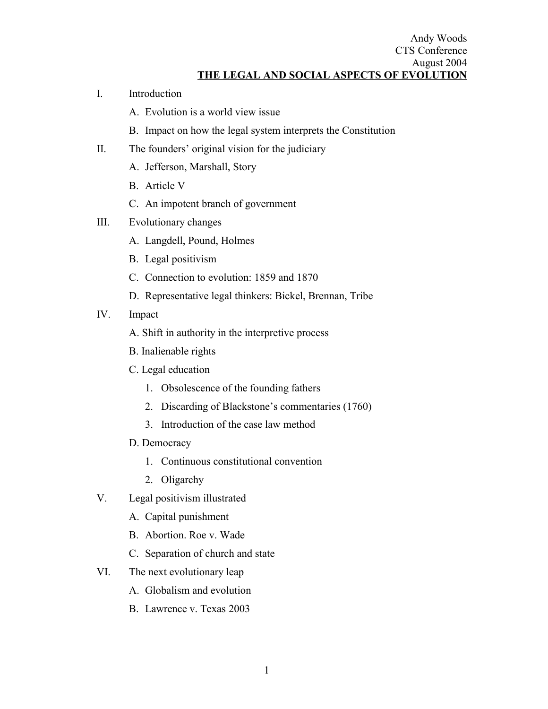## Andy Woods CTS Conference August 2004 **THE LEGAL AND SOCIAL ASPECTS OF EVOLUTION**

- I. Introduction
	- A. Evolution is a world view issue
	- B. Impact on how the legal system interprets the Constitution
- II. The founders' original vision for the judiciary
	- A. Jefferson, Marshall, Story
	- B. Article V
	- C. An impotent branch of government
- III. Evolutionary changes
	- A. Langdell, Pound, Holmes
	- B. Legal positivism
	- C. Connection to evolution: 1859 and 1870
	- D. Representative legal thinkers: Bickel, Brennan, Tribe
- IV. Impact
	- A. Shift in authority in the interpretive process
	- B. Inalienable rights
	- C. Legal education
		- 1. Obsolescence of the founding fathers
		- 2. Discarding of Blackstone's commentaries (1760)
		- 3. Introduction of the case law method
	- D. Democracy
		- 1. Continuous constitutional convention
		- 2. Oligarchy
- V. Legal positivism illustrated
	- A. Capital punishment
	- B. Abortion. Roe v. Wade
	- C. Separation of church and state
- VI. The next evolutionary leap
	- A. Globalism and evolution
	- B. Lawrence v. Texas 2003